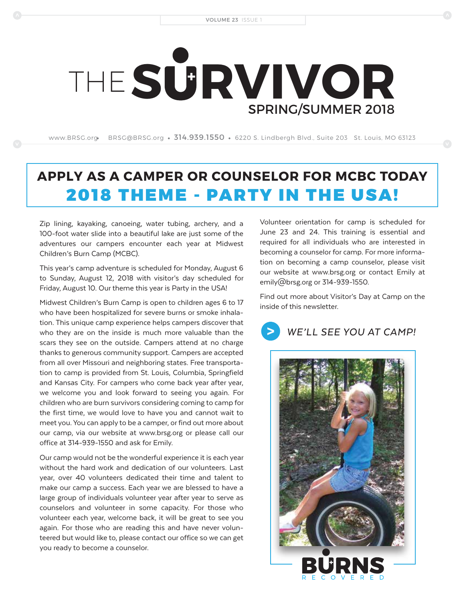# SPRING/SUMMER 2018 THE**S RVIVOR**

www.BRSG.org BRSG@BRSG.org •  $314.939.1550$  • 6220 S. Lindbergh Blvd., Suite 203  $\,$  St. Louis, MO 63123  $\,$ 

### **APPLY AS A CAMPER OR COUNSELOR FOR MCBC TODAY**  2018 THEME - PARTY IN THE USA!

Zip lining, kayaking, canoeing, water tubing, archery, and a 100-foot water slide into a beautiful lake are just some of the adventures our campers encounter each year at Midwest Children's Burn Camp (MCBC).

This year's camp adventure is scheduled for Monday, August 6 to Sunday, August 12, 2018 with visitor's day scheduled for Friday, August 10. Our theme this year is Party in the USA!

Midwest Children's Burn Camp is open to children ages 6 to 17 who have been hospitalized for severe burns or smoke inhalation. This unique camp experience helps campers discover that who they are on the inside is much more valuable than the scars they see on the outside. Campers attend at no charge thanks to generous community support. Campers are accepted from all over Missouri and neighboring states. Free transportation to camp is provided from St. Louis, Columbia, Springfield and Kansas City. For campers who come back year after year, we welcome you and look forward to seeing you again. For children who are burn survivors considering coming to camp for the first time, we would love to have you and cannot wait to meet you. You can apply to be a camper, or find out more about our camp, via our website at www.brsg.org or please call our office at 314-939-1550 and ask for Emily.

Our camp would not be the wonderful experience it is each year without the hard work and dedication of our volunteers. Last year, over 40 volunteers dedicated their time and talent to make our camp a success. Each year we are blessed to have a large group of individuals volunteer year after year to serve as counselors and volunteer in some capacity. For those who volunteer each year, welcome back, it will be great to see you again. For those who are reading this and have never volunteered but would like to, please contact our office so we can get you ready to become a counselor.

Volunteer orientation for camp is scheduled for June 23 and 24. This training is essential and required for all individuals who are interested in becoming a counselor for camp. For more information on becoming a camp counselor, please visit our website at www.brsg.org or contact Emily at emily@brsg.org or 314-939-1550.

Find out more about Visitor's Day at Camp on the inside of this newsletter.

*WE'LL SEE YOU AT CAMP!*

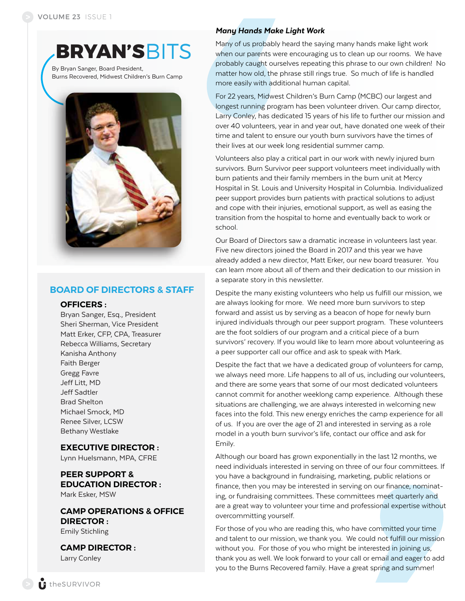**BRYAN'S**BITS

By Bryan Sanger, Board President, Burns Recovered, Midwest Children's Burn Camp



#### **BOARD OF DIRECTORS & STAFF**

#### **OFFICERS :**

Bryan Sanger, Esq., President Sheri Sherman, Vice President Matt Erker, CFP, CPA, Treasurer Rebecca Williams, Secretary Kanisha Anthony Faith Berger Gregg Favre Jeff Litt, MD Jeff Sadtler Brad Shelton Michael Smock, MD Renee Silver, LCSW Bethany Westlake

#### **EXECUTIVE DIRECTOR :**

Lynn Huelsmann, MPA, CFRE

#### **PEER SUPPORT & EDUCATION DIRECTOR :** Mark Esker, MSW

**CAMP OPERATIONS & OFFICE DIRECTOR :** Emily Stichling

**CAMP DIRECTOR :**  Larry Conley

#### *Many Hands Make Light Work*

Many of us probably heard the saying many hands make light work when our parents were encouraging us to clean up our rooms. We have probably caught ourselves repeating this phrase to our own children! No matter how old, the phrase still rings true. So much of life is handled more easily with additional human capital.

For 22 years, Midwest Children's Burn Camp (MCBC) our largest and longest running program has been volunteer driven. Our camp director, Larry Conley, has dedicated 15 years of his life to further our mission and over 40 volunteers, year in and year out, have donated one week of their time and talent to ensure our youth burn survivors have the times of their lives at our week long residential summer camp.

Volunteers also play a critical part in our work with newly injured burn survivors. Burn Survivor peer support volunteers meet individually with burn patients and their family members in the burn unit at Mercy Hospital in St. Louis and University Hospital in Columbia. Individualized peer support provides burn patients with practical solutions to adjust and cope with their injuries, emotional support, as well as easing the transition from the hospital to home and eventually back to work or school.

Our Board of Directors saw a dramatic increase in volunteers last year. Five new directors joined the Board in 2017 and this year we have already added a new director, Matt Erker, our new board treasurer. You can learn more about all of them and their dedication to our mission in a separate story in this newsletter.

Despite the many existing volunteers who help us fulfill our mission, we are always looking for more. We need more burn survivors to step forward and assist us by serving as a beacon of hope for newly burn injured individuals through our peer support program. These volunteers are the foot soldiers of our program and a critical piece of a burn survivors' recovery. If you would like to learn more about volunteering as a peer supporter call our office and ask to speak with Mark.

Despite the fact that we have a dedicated group of volunteers for camp, we always need more. Life happens to all of us, including our volunteers, and there are some years that some of our most dedicated volunteers cannot commit for another weeklong camp experience. Although these situations are challenging, we are always interested in welcoming new faces into the fold. This new energy enriches the camp experience for all of us. If you are over the age of 21 and interested in serving as a role model in a youth burn survivor's life, contact our office and ask for Emily.

Although our board has grown exponentially in the last 12 months, we need individuals interested in serving on three of our four committees. If you have a background in fundraising, marketing, public relations or finance, then you may be interested in serving on our finance, nominating, or fundraising committees. These committees meet quarterly and are a great way to volunteer your time and professional expertise without overcommitting yourself.

For those of you who are reading this, who have committed your time and talent to our mission, we thank you. We could not fulfill our mission without you. For those of you who might be interested in joining us, thank you as well. We look forward to your call or email and eager to add you to the Burns Recovered family. Have a great spring and summer!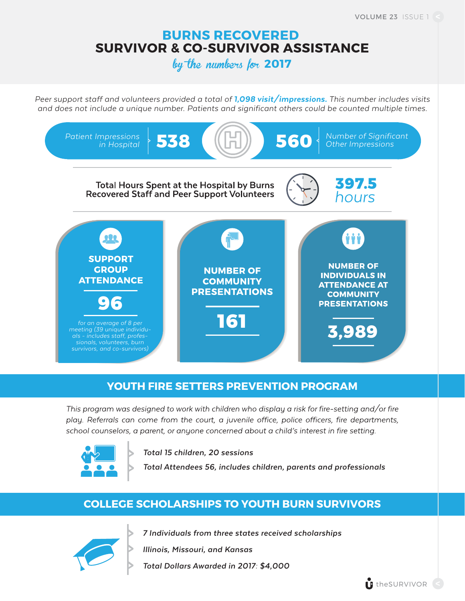#### **BURNS RECOVERED SURVIVOR & CO-SURVIVOR ASSISTANCE**

by the numbers for **2017**

*Peer support staff and volunteers provided a total of 1,098 visit/impressions. This number includes visits and does not include a unique number. Patients and significant others could be counted multiple times.*



#### **YOUTH FIRE SETTERS PREVENTION PROGRAM**

This program was designed to work with children who display a risk for fire-setting and/or fire play. Referrals can come from the court, a juvenile office, police officers, fire departments, school counselors, a parent, or anyone concerned about a child's interest in fire setting.



*Total 15 children, 20 sessions*

*Total Attendees 56, includes children, parents and professionals*

#### **COLLEGE SCHOLARSHIPS TO YOUTH BURN SURVIVORS**



*7 Individuals from three states received scholarships*

*Illinois, Missouri, and Kansas*

*Total Dollars Awarded in 2017: \$4,000*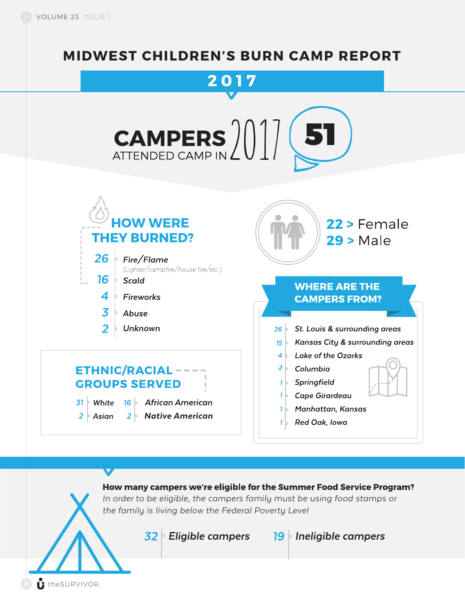### **MIDWEST CHILDREN'S BURN CAMP REPORT**



How many campers we're eligible for the Summer Food Service Program?

*In order to be eligible, the campers family must be using food stamps or the family is living below the Federal Poverty Level*

 $32$  Eligible campers 19 Ineligible campers

theSURVIVOR

 $\bm{\nabla}$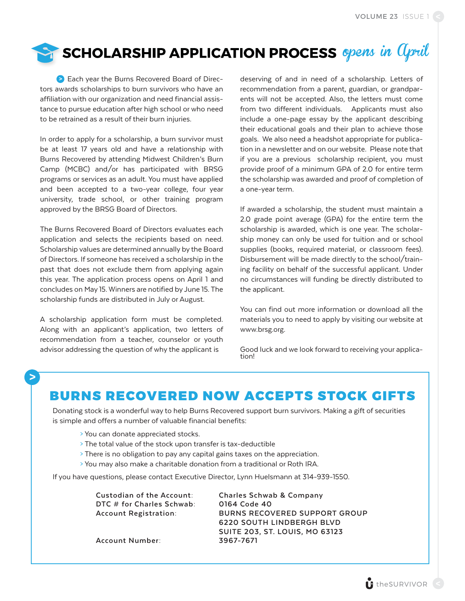### SCHOLARSHIP APPLICATION PROCESS opens in  $Q$ pill

 Each year the Burns Recovered Board of Direc-**>** tors awards scholarships to burn survivors who have an affiliation with our organization and need financial assistance to pursue education after high school or who need to be retrained as a result of their burn injuries.

In order to apply for a scholarship, a burn survivor must be at least 17 years old and have a relationship with Burns Recovered by attending Midwest Children's Burn Camp (MCBC) and/or has participated with BRSG programs or services as an adult. You must have applied and been accepted to a two-year college, four year university, trade school, or other training program approved by the BRSG Board of Directors.

The Burns Recovered Board of Directors evaluates each application and selects the recipients based on need. Scholarship values are determined annually by the Board of Directors. If someone has received a scholarship in the past that does not exclude them from applying again this year. The application process opens on April 1 and concludes on May 15. Winners are notified by June 15. The scholarship funds are distributed in July or August.

A scholarship application form must be completed. Along with an applicant's application, two letters of recommendation from a teacher, counselor or youth advisor addressing the question of why the applicant is

deserving of and in need of a scholarship. Letters of recommendation from a parent, guardian, or grandparents will not be accepted. Also, the letters must come from two different individuals. Applicants must also include a one-page essay by the applicant describing their educational goals and their plan to achieve those goals. We also need a headshot appropriate for publication in a newsletter and on our website. Please note that if you are a previous scholarship recipient, you must provide proof of a minimum GPA of 2.0 for entire term the scholarship was awarded and proof of completion of a one-year term.

If awarded a scholarship, the student must maintain a 2.0 grade point average (GPA) for the entire term the scholarship is awarded, which is one year. The scholarship money can only be used for tuition and or school supplies (books, required material, or classroom fees). Disbursement will be made directly to the school/training facility on behalf of the successful applicant. Under no circumstances will funding be directly distributed to the applicant.

You can find out more information or download all the materials you to need to apply by visiting our website at www.brsg.org.

Good luck and we look forward to receiving your applica-<br>tion!

### **>**

### BURNS RECOVERED NOW ACCEPTS STOCK GIFTS

Donating stock is a wonderful way to help Burns Recovered support burn survivors. Making a gift of securities is simple and offers a number of valuable financial benefits:

- > You can donate appreciated stocks.
- > The total value of the stock upon transfer is tax-deductible
- > There is no obligation to pay any capital gains taxes on the appreciation.
- > You may also make a charitable donation from a traditional or Roth IRA.

If you have questions, please contact Executive Director, Lynn Huelsmann at 314-939-1550.

**DTC # for Charles Schwab: 0164 Code 40**

**Custodian of the Account: Charles Schwab & Company Account Registration: BURNS RECOVERED SUPPORT GROUP 6220 SOUTH LINDBERGH BLVD SUITE 203, ST. LOUIS, MO 63123**

**Account Number: 3967-7671**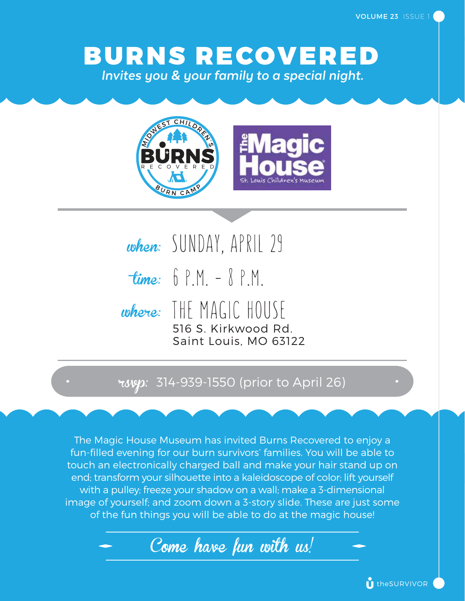BURNS RECOVERED *Invites you & your family to a special night.*



when: SUNDAY, APRIL 29 time: 6 P.M. – 8 P.M. where: THE MAGIC HOUSE 516 S. Kirkwood Rd. Saint Louis, MO 63122

#### **roven:** 314-939-1550 (prior to April 26)

The Magic House Museum has invited Burns Recovered to enjoy a fun-filled evening for our burn survivors' families. You will be able to touch an electronically charged ball and make your hair stand up on end; transform your silhouette into a kaleidoscope of color; lift yourself with a pulley; freeze your shadow on a wall; make a 3-dimensional image of yourself; and zoom down a 3-story slide. These are just some of the fun things you will be able to do at the magic house!

Come have fun with us!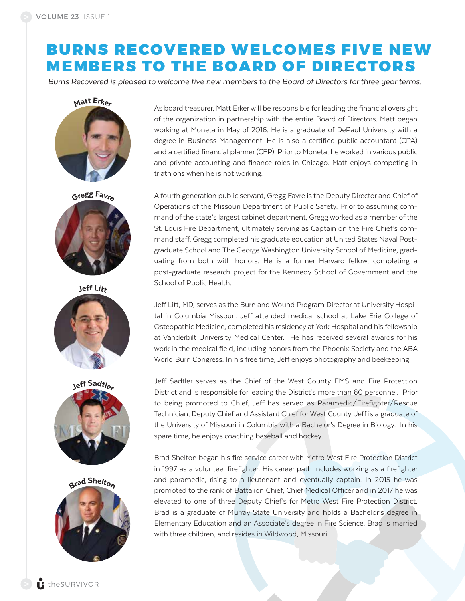### BURNS RECOVERED WELCOMES FIVE NEW MEMBERS TO THE BOARD OF DIRECTORS

*Burns Recovered is pleased to welcome five new members to the Board of Directors for three year terms.* 





Jeff Litt







As board treasurer, Matt Erker will be responsible for leading the financial oversight of the organization in partnership with the entire Board of Directors. Matt began working at Moneta in May of 2016. He is a graduate of DePaul University with a degree in Business Management. He is also a certified public accountant (CPA) and a certified financial planner (CFP). Prior to Moneta, he worked in various public and private accounting and finance roles in Chicago. Matt enjoys competing in triathlons when he is not working.

A fourth generation public servant, Gregg Favre is the Deputy Director and Chief of Operations of the Missouri Department of Public Safety. Prior to assuming command of the state's largest cabinet department, Gregg worked as a member of the St. Louis Fire Department, ultimately serving as Captain on the Fire Chief's command staff. Gregg completed his graduate education at United States Naval Postgraduate School and The George Washington University School of Medicine, graduating from both with honors. He is a former Harvard fellow, completing a post-graduate research project for the Kennedy School of Government and the School of Public Health.

Jeff Litt, MD, serves as the Burn and Wound Program Director at University Hospital in Columbia Missouri. Jeff attended medical school at Lake Erie College of Osteopathic Medicine, completed his residency at York Hospital and his fellowship at Vanderbilt University Medical Center. He has received several awards for his work in the medical field, including honors from the Phoenix Society and the ABA World Burn Congress. In his free time, Jeff enjoys photography and beekeeping.

Jeff Sadtler serves as the Chief of the West County EMS and Fire Protection District and is responsible for leading the District's more than 60 personnel. Prior to being promoted to Chief, Jeff has served as Paramedic/Firefighter/Rescue Technician, Deputy Chief and Assistant Chief for West County. Jeff is a graduate of the University of Missouri in Columbia with a Bachelor's Degree in Biology. In his spare time, he enjoys coaching baseball and hockey.

Brad Shelton began his fire service career with Metro West Fire Protection District in 1997 as a volunteer firefighter. His career path includes working as a firefighter and paramedic, rising to a lieutenant and eventually captain. In 2015 he was promoted to the rank of Battalion Chief, Chief Medical Officer and in 2017 he was elevated to one of three Deputy Chief's for Metro West Fire Protection District. Brad is a graduate of Murray State University and holds a Bachelor's degree in Elementary Education and an Associate's degree in Fire Science. Brad is married with three children, and resides in Wildwood, Missouri.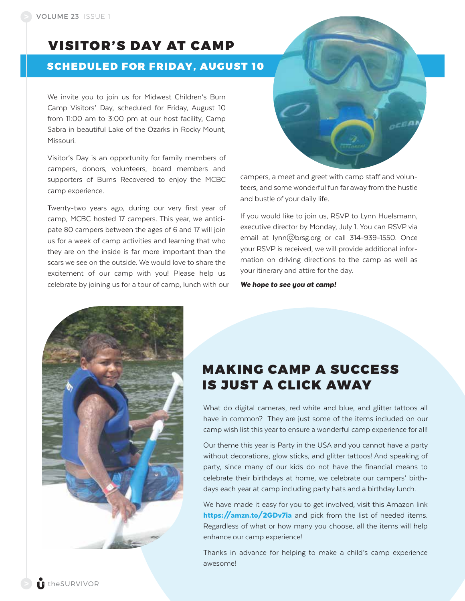### VISITOR'S DAY AT CAMP

#### SCHEDULED FOR FRIDAY, AUGUST 10

We invite you to join us for Midwest Children's Burn Camp Visitors' Day, scheduled for Friday, August 10 from 11:00 am to 3:00 pm at our host facility, Camp Sabra in beautiful Lake of the Ozarks in Rocky Mount, Missouri.

Visitor's Day is an opportunity for family members of campers, donors, volunteers, board members and supporters of Burns Recovered to enjoy the MCBC camp experience.

Twenty-two years ago, during our very first year of camp, MCBC hosted 17 campers. This year, we anticipate 80 campers between the ages of 6 and 17 will join us for a week of camp activities and learning that who they are on the inside is far more important than the scars we see on the outside. We would love to share the excitement of our camp with you! Please help us celebrate by joining us for a tour of camp, lunch with our campers, a meet and greet with camp staff and volunteers, and some wonderful fun far away from the hustle and bustle of your daily life.

If you would like to join us, RSVP to Lynn Huelsmann, executive director by Monday, July 1. You can RSVP via email at lynn@brsg.org or call 314-939-1550. Once your RSVP is received, we will provide additional information on driving directions to the camp as well as your itinerary and attire for the day.

*We hope to see you at camp!*



### MAKING CAMP A SUCCESS IS JUST A CLICK AWAY

What do digital cameras, red white and blue, and glitter tattoos all have in common? They are just some of the items included on our camp wish list this year to ensure a wonderful camp experience for all!

Our theme this year is Party in the USA and you cannot have a party without decorations, glow sticks, and glitter tattoos! And speaking of party, since many of our kids do not have the financial means to celebrate their birthdays at home, we celebrate our campers' birthdays each year at camp including party hats and a birthday lunch.

We have made it easy for you to get involved, visit this Amazon link https://amzn.to/2GDv7ia and pick from the list of needed items. Regardless of what or how many you choose, all the items will help enhance our camp experience!

Thanks in advance for helping to make a child's camp experience awesome!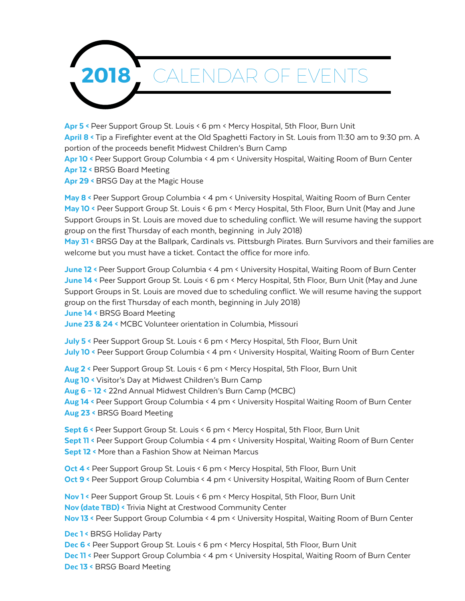

Apr 5 < Peer Support Group St. Louis < 6 pm < Mercy Hospital, 5th Floor, Burn Unit April 8 < Tip a Firefighter event at the Old Spaghetti Factory in St. Louis from 11:30 am to 9:30 pm. A portion of the proceeds benefit Midwest Children's Burn Camp Apr 10 < Peer Support Group Columbia < 4 pm < University Hospital, Waiting Room of Burn Center

- Apr 12 < BRSG Board Meeting
- Apr 29 < BRSG Day at the Magic House

May 8 < Peer Support Group Columbia < 4 pm < University Hospital, Waiting Room of Burn Center May 10 < Peer Support Group St. Louis < 6 pm < Mercy Hospital, 5th Floor, Burn Unit (May and June Support Groups in St. Louis are moved due to scheduling conflict. We will resume having the support group on the first Thursday of each month, beginning in July 2018)

May 31 < BRSG Day at the Ballpark, Cardinals vs. Pittsburgh Pirates. Burn Survivors and their families are welcome but you must have a ticket. Contact the office for more info.

June 12 < Peer Support Group Columbia < 4 pm < University Hospital, Waiting Room of Burn Center June 14 < Peer Support Group St. Louis < 6 pm < Mercy Hospital, 5th Floor, Burn Unit (May and June Support Groups in St. Louis are moved due to scheduling conflict. We will resume having the support group on the first Thursday of each month, beginning in July 2018)

June 14 < BRSG Board Meeting

June 23 & 24 < MCBC Volunteer orientation in Columbia, Missouri

July 5 < Peer Support Group St. Louis < 6 pm < Mercy Hospital, 5th Floor, Burn Unit July 10 < Peer Support Group Columbia < 4 pm < University Hospital, Waiting Room of Burn Center

Aug 2 < Peer Support Group St. Louis < 6 pm < Mercy Hospital, 5th Floor, Burn Unit

Aug 10 < Visitor's Day at Midwest Children's Burn Camp

Aug 6 – 12 < 22nd Annual Midwest Children's Burn Camp (MCBC)

Aug 14 < Peer Support Group Columbia < 4 pm < University Hospital Waiting Room of Burn Center Aug 23 < BRSG Board Meeting

Sept 6 < Peer Support Group St. Louis < 6 pm < Mercy Hospital, 5th Floor, Burn Unit Sept 11 < Peer Support Group Columbia < 4 pm < University Hospital, Waiting Room of Burn Center Sept 12 < More than a Fashion Show at Neiman Marcus

Oct 4 < Peer Support Group St. Louis < 6 pm < Mercy Hospital, 5th Floor, Burn Unit Oct 9 < Peer Support Group Columbia < 4 pm < University Hospital, Waiting Room of Burn Center

Nov 1 < Peer Support Group St. Louis < 6 pm < Mercy Hospital, 5th Floor, Burn Unit Nov (date TBD) < Trivia Night at Crestwood Community Center

Nov 13 < Peer Support Group Columbia < 4 pm < University Hospital, Waiting Room of Burn Center

Dec 1 < BRSG Holiday Party

Dec 6 < Peer Support Group St. Louis < 6 pm < Mercy Hospital, 5th Floor, Burn Unit

Dec 11 < Peer Support Group Columbia < 4 pm < University Hospital, Waiting Room of Burn Center Dec 13 < BRSG Board Meeting